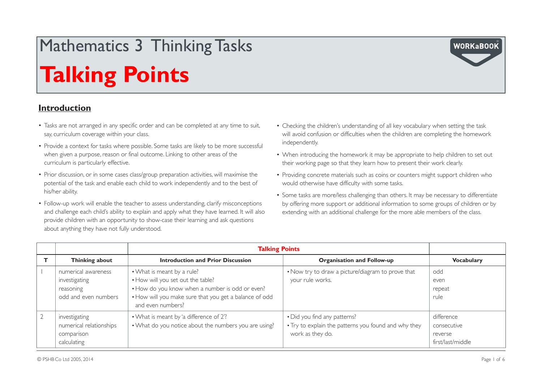# Mathematics 3 Thinking Tasks

## **Talking Points**

#### **Introduction**

- Tasks are not arranged in any specific order and can be completed at any time to suit, say, curriculum coverage within your class.
- Provide a context for tasks where possible. Some tasks are likely to be more successful when given a purpose, reason or final outcome. Linking to other areas of the curriculum is particularly effective.
- Prior discussion, or in some cases class/group preparation activities, will maximise the potential of the task and enable each child to work independently and to the best of his/her ability.
- Follow-up work will enable the teacher to assess understanding, clarify misconceptions and challenge each child's ability to explain and apply what they have learned. It will also provide children with an opportunity to show-case their learning and ask questions about anything they have not fully understood.
- • Checking the children's understanding of all key vocabulary when setting the task will avoid confusion or difficulties when the children are completing the homework independently.
- When introducing the homework it may be appropriate to help children to set out their working page so that they learn how to present their work clearly.
- Providing concrete materials such as coins or counters might support children who would otherwise have difficulty with some tasks.
- Some tasks are more/less challenging than others. It may be necessary to differentiate by offering more support or additional information to some groups of children or by extending with an additional challenge for the more able members of the class.

|                |                                                                           | <b>Talking Points</b>                                                                                                                                                                             |                                                                                                          |                                                           |
|----------------|---------------------------------------------------------------------------|---------------------------------------------------------------------------------------------------------------------------------------------------------------------------------------------------|----------------------------------------------------------------------------------------------------------|-----------------------------------------------------------|
|                | Thinking about                                                            | <b>Introduction and Prior Discussion</b>                                                                                                                                                          | <b>Organisation and Follow-up</b>                                                                        | <b>Vocabulary</b>                                         |
|                | numerical awareness<br>investigating<br>reasoning<br>odd and even numbers | • What is meant by a rule?<br>. How will you set out the table?<br>• How do you know when a number is odd or even?<br>. How will you make sure that you get a balance of odd<br>and even numbers? | . Now try to draw a picture/diagram to prove that<br>your rule works.                                    | odd<br>even<br>repeat<br>rule.                            |
| $\overline{2}$ | investigating<br>numerical relationships<br>comparison<br>calculating     | • What is meant by 'a difference of 2'?<br>• What do you notice about the numbers you are using?                                                                                                  | • Did you find any patterns?<br>• Try to explain the patterns you found and why they<br>work as they do. | difference<br>consecutive<br>reverse<br>first/last/middle |

**WORKaBOOK**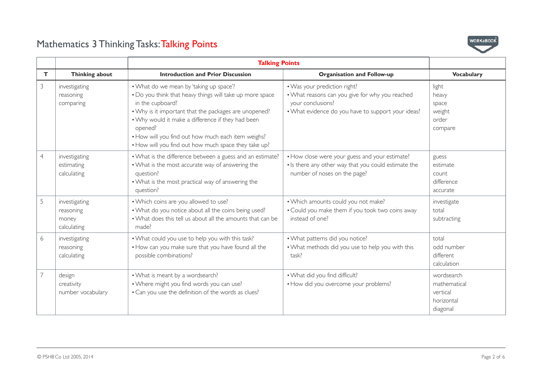

|    |                                                    | <b>Talking Points</b>                                                                                                                                                                                                                                                                                                                                          |                                                                                                                                                            |                                                                  |
|----|----------------------------------------------------|----------------------------------------------------------------------------------------------------------------------------------------------------------------------------------------------------------------------------------------------------------------------------------------------------------------------------------------------------------------|------------------------------------------------------------------------------------------------------------------------------------------------------------|------------------------------------------------------------------|
| T. | Thinking about                                     | <b>Introduction and Prior Discussion</b>                                                                                                                                                                                                                                                                                                                       | <b>Organisation and Follow-up</b>                                                                                                                          | <b>Vocabulary</b>                                                |
| 3  | investigating<br>reasoning<br>comparing            | • What do we mean by 'taking up space'?<br>. Do you think that heavy things will take up more space<br>in the cupboard?<br>• Why is it important that the packages are unopened?<br>• Why would it make a difference if they had been<br>opened?<br>• How will you find out how much each item weighs?<br>• How will you find out how much space they take up? | . Was your prediction right?<br>. What reasons can you give for why you reached<br>your conclusions?<br>• What evidence do you have to support your ideas? | light<br>heavy<br>space<br>weight<br>order<br>compare            |
| 4  | investigating<br>estimating<br>calculating         | • What is the difference between a guess and an estimate?<br>• What is the most accurate way of answering the<br>question?<br>• What is the most practical way of answering the<br>question?                                                                                                                                                                   | • How close were your guess and your estimate?<br>. Is there any other way that you could estimate the<br>number of noses on the page?                     | guess<br>estimate<br>count<br>difference<br>accurate             |
| 5  | investigating<br>reasoning<br>money<br>calculating | . Which coins are you allowed to use?<br>• What do you notice about all the coins being used?<br>• What does this tell us about all the amounts that can be<br>made?                                                                                                                                                                                           | . Which amounts could you not make?<br>• Could you make them if you took two coins away<br>instead of one?                                                 | investigate<br>total<br>subtracting                              |
| 6  | investigating<br>reasoning<br>calculating          | . What could you use to help you with this task?<br>. How can you make sure that you have found all the<br>possible combinations?                                                                                                                                                                                                                              | . What patterns did you notice?<br>. What methods did you use to help you with this<br>task?                                                               | total<br>odd number<br>different<br>calculation                  |
| 7  | design<br>creativity<br>number vocabulary          | . What is meant by a wordsearch?<br>. Where might you find words you can use?<br>• Can you use the definition of the words as clues?                                                                                                                                                                                                                           | . What did you find difficult?<br>• How did you overcome your problems?                                                                                    | wordsearch<br>mathematical<br>vertical<br>horizontal<br>diagonal |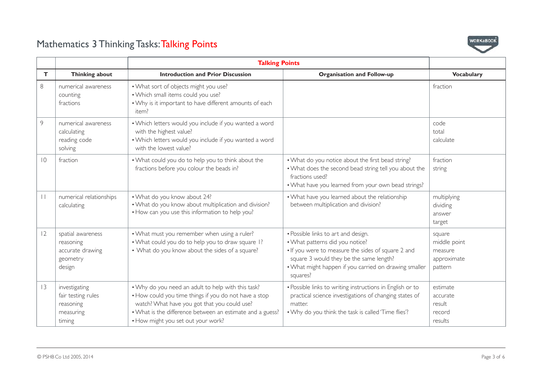

|                 |                                                                          | <b>Talking Points</b>                                                                                                                                                                                                                                          |                                                                                                                                                                                                                                              |                                                             |
|-----------------|--------------------------------------------------------------------------|----------------------------------------------------------------------------------------------------------------------------------------------------------------------------------------------------------------------------------------------------------------|----------------------------------------------------------------------------------------------------------------------------------------------------------------------------------------------------------------------------------------------|-------------------------------------------------------------|
| $\mathbf T$     | <b>Thinking about</b>                                                    | <b>Introduction and Prior Discussion</b>                                                                                                                                                                                                                       | <b>Organisation and Follow-up</b>                                                                                                                                                                                                            | <b>Vocabulary</b>                                           |
| 8               | numerical awareness<br>counting<br>fractions                             | . What sort of objects might you use?<br>. Which small items could you use?<br>• Why is it important to have different amounts of each<br>item?                                                                                                                |                                                                                                                                                                                                                                              | fraction                                                    |
| 9               | numerical awareness<br>calculating<br>reading code<br>solving            | . Which letters would you include if you wanted a word<br>with the highest value?<br>. Which letters would you include if you wanted a word<br>with the lowest value?                                                                                          |                                                                                                                                                                                                                                              | code<br>total<br>calculate                                  |
| $\overline{10}$ | fraction                                                                 | . What could you do to help you to think about the<br>fractions before you colour the beads in?                                                                                                                                                                | . What do you notice about the first bead string?<br>. What does the second bead string tell you about the<br>fractions used?<br>. What have you learned from your own bead strings?                                                         | fraction<br>string                                          |
| $\mathbf{L}$    | numerical relationships<br>calculating                                   | . What do you know about 24?<br>. What do you know about multiplication and division?<br>• How can you use this information to help you?                                                                                                                       | • What have you learned about the relationship<br>between multiplication and division?                                                                                                                                                       | multiplying<br>dividing<br>answer<br>target                 |
| 12              | spatial awareness<br>reasoning<br>accurate drawing<br>geometry<br>design | . What must you remember when using a ruler?<br>. What could you do to help you to draw square 1?<br>• What do you know about the sides of a square?                                                                                                           | • Possible links to art and design.<br>. What patterns did you notice?<br>. If you were to measure the sides of square 2 and<br>square 3 would they be the same length?<br>• What might happen if you carried on drawing smaller<br>squares? | square<br>middle point<br>measure<br>approximate<br>pattern |
| 3               | investigating<br>fair testing rules<br>reasoning<br>measuring<br>timing  | . Why do you need an adult to help with this task?<br>• How could you time things if you do not have a stop<br>watch? What have you got that you could use?<br>. What is the difference between an estimate and a guess?<br>• How might you set out your work? | • Possible links to writing instructions in English or to<br>practical science investigations of changing states of<br>matter<br>. Why do you think the task is called 'Time flies'?                                                         | estimate<br>accurate<br>result<br>record<br>results         |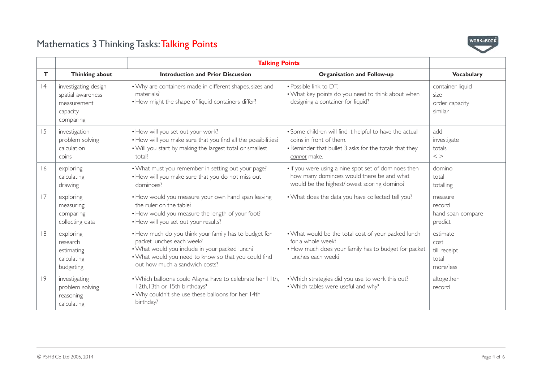

|    |                                                                                   | <b>Talking Points</b>                                                                                                                                                                                                          |                                                                                                                                                              |                                                        |
|----|-----------------------------------------------------------------------------------|--------------------------------------------------------------------------------------------------------------------------------------------------------------------------------------------------------------------------------|--------------------------------------------------------------------------------------------------------------------------------------------------------------|--------------------------------------------------------|
| Т  | Thinking about                                                                    | <b>Introduction and Prior Discussion</b>                                                                                                                                                                                       | Organisation and Follow-up                                                                                                                                   | <b>Vocabulary</b>                                      |
| 4  | investigating design<br>spatial awareness<br>measurement<br>capacity<br>comparing | • Why are containers made in different shapes, sizes and<br>materials?<br>• How might the shape of liquid containers differ?                                                                                                   | • Possible link to DT.<br>. What key points do you need to think about when<br>designing a container for liquid?                                             | container liquid<br>size<br>order capacity<br>similar  |
| 15 | investigation<br>problem solving<br>calculation<br>coins                          | . How will you set out your work?<br>• How will you make sure that you find all the possibilities?<br>. Will you start by making the largest total or smallest<br>total?                                                       | • Some children will find it helpful to have the actual<br>coins in front of them.<br>• Reminder that bullet 3 asks for the totals that they<br>cannot make. | add<br>investigate<br>totals<br>$\langle$ >            |
| 16 | exploring<br>calculating<br>drawing                                               | • What must you remember in setting out your page?<br>. How will you make sure that you do not miss out<br>dominoes?                                                                                                           | . If you were using a nine spot set of dominoes then<br>how many dominoes would there be and what<br>would be the highest/lowest scoring domino?             | domino<br>total<br>totalling                           |
| 17 | exploring<br>measuring<br>comparing<br>collecting data                            | • How would you measure your own hand span leaving<br>the ruler on the table?<br>• How would you measure the length of your foot?<br>. How will you set out your results?                                                      | . What does the data you have collected tell you?                                                                                                            | measure<br>record<br>hand span compare<br>predict      |
| 8  | exploring<br>research<br>estimating<br>calculating<br>budgeting                   | • How much do you think your family has to budget for<br>packet lunches each week?<br>. What would you include in your packed lunch?<br>. What would you need to know so that you could find<br>out how much a sandwich costs? | . What would be the total cost of your packed lunch<br>for a whole week?<br>• How much does your family has to budget for packet<br>lunches each week?       | estimate<br>cost<br>till receipt<br>total<br>more/less |
| 9  | investigating<br>problem solving<br>reasoning<br>calculating                      | . Which balloons could Alayna have to celebrate her IIth,<br>I2th, I3th or I5th birthdays?<br>. Why couldn't she use these balloons for her 14th<br>birthday?                                                                  | . Which strategies did you use to work this out?<br>. Which tables were useful and why?                                                                      | altogether<br>record                                   |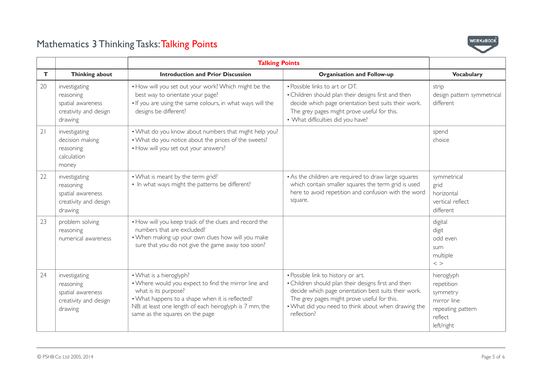

|    |                                                                                     | <b>Talking Points</b>                                                                                                                                                                                                                                    |                                                                                                                                                                                                                                                                        |                                                                                                   |
|----|-------------------------------------------------------------------------------------|----------------------------------------------------------------------------------------------------------------------------------------------------------------------------------------------------------------------------------------------------------|------------------------------------------------------------------------------------------------------------------------------------------------------------------------------------------------------------------------------------------------------------------------|---------------------------------------------------------------------------------------------------|
| T. | <b>Thinking about</b>                                                               | <b>Introduction and Prior Discussion</b>                                                                                                                                                                                                                 | <b>Organisation and Follow-up</b>                                                                                                                                                                                                                                      | <b>Vocabulary</b>                                                                                 |
| 20 | investigating<br>reasoning<br>spatial awareness<br>creativity and design<br>drawing | . How will you set out your work? Which might be the<br>best way to orientate your page?<br>. If you are using the same colours, in what ways will the<br>designs be different?                                                                          | • Possible links to art or DT.<br>• Children should plan their designs first and then<br>decide which page orientation best suits their work.<br>The grey pages might prove useful for this.<br>• What difficulties did you have?                                      | strip<br>design pattern symmetrical<br>different                                                  |
| 21 | investigating<br>decision making<br>reasoning<br>calculation<br>money               | . What do you know about numbers that might help you?<br>. What do you notice about the prices of the sweets?<br>• How will you set out your answers?                                                                                                    |                                                                                                                                                                                                                                                                        | spend<br>choice                                                                                   |
| 22 | investigating<br>reasoning<br>spatial awareness<br>creativity and design<br>drawing | . What is meant by the term grid?<br>• In what ways might the patterns be different?                                                                                                                                                                     | • As the children are required to draw large squares<br>which contain smaller squares the term grid is used<br>here to avoid repetition and confusion with the word<br>square.                                                                                         | symmetrical<br>grid<br>horizontal<br>vertical reflect<br>different                                |
| 23 | problem solving<br>reasoning<br>numerical awareness                                 | . How will you keep track of the clues and record the<br>numbers that are excluded?<br>. When making up your own clues how will you make<br>sure that you do not give the game away too soon?                                                            |                                                                                                                                                                                                                                                                        | digital<br>digit<br>odd even<br>sum<br>multiple<br>$\langle$ $>$                                  |
| 24 | investigating<br>reasoning<br>spatial awareness<br>creativity and design<br>drawing | • What is a hieroglyph?<br>. Where would you expect to find the mirror line and<br>what is its purpose?<br>. What happens to a shape when it is reflected?<br>NB: at least one length of each heiroglyph is 7 mm, the<br>same as the squares on the page | • Possible link to history or art.<br>• Children should plan their designs first and then<br>decide which page orientation best suits their work.<br>The grey pages might prove useful for this.<br>. What did you need to think about when drawing the<br>reflection? | hieroglyph<br>repetition<br>symmetry<br>mirror line<br>repeating pattern<br>reflect<br>left/right |